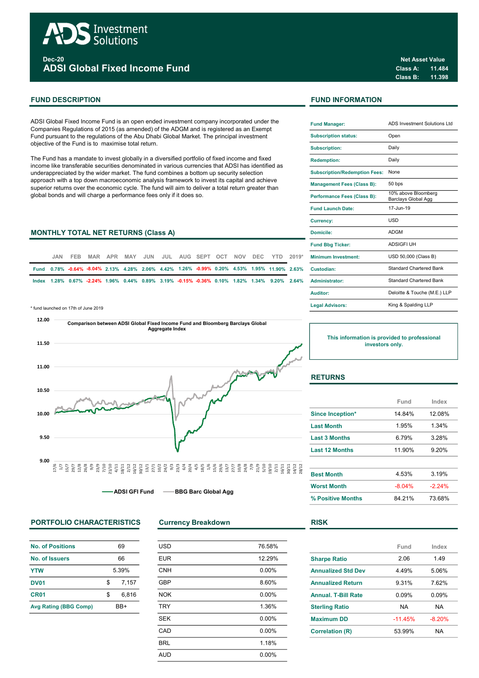

Dec-20 ADSI Global Fixed Income Fund

ADSI Global Fixed Income Fund is an open ended investment company incorporated under the Companies Regulations of 2015 (as amended) of the ADGM and is registered as an Exempt Fund pursuant to the regulations of the Abu Dhabi Global Market. The principal investment objective of the Fund is to maximise total return.

The Fund has a mandate to invest globally in a diversified portfolio of fixed income and fixed income like transferable securities denominated in various currencies that ADSI has identified as underappreciated by the wider market. The fund combines a bottom up security selection approach with a top down macroeconomic analysis framework to invest its capital and achieve superior returns over the economic cycle. The fund will aim to deliver a total return greater than global bonds and will charge a performance fees only if it does so.

### **MONTHLY TOTAL NET RETURNS (Class A)**

|  | JAN. | FEB. |  |  |  |  |  | MAR APR MAY JUN JUL AUG SEPT OCT NOV DEC YTD 2019* | <b>Minimum Investment:</b>                                                                                  |
|--|------|------|--|--|--|--|--|----------------------------------------------------|-------------------------------------------------------------------------------------------------------------|
|  |      |      |  |  |  |  |  |                                                    | Fund 0.78% -0.64% -8.04% 2.13% 4.28% 2.06% 4.42% 1.26% -0.99% 0.20% 4.53% 1.95% 11.90% 2.63% Custodian:     |
|  |      |      |  |  |  |  |  |                                                    | lndex 1.28% 0.67% -2.24% 1.96% 0.44% 0.89% 3.19% -0.15% -0.36% 0.10% 1.82% 1.34% 9.20% 2.64% Administrator: |

\* fund launched on 17th of June 2019



# PORTFOLIO CHARACTERISTICS Currency Breakdown RISK

| <b>No. of Positions</b> | 69    |       |  |  |
|-------------------------|-------|-------|--|--|
| No. of Issuers          | 66    |       |  |  |
| <b>YTW</b>              | 5.39% |       |  |  |
| <b>DV01</b>             | \$    | 7.157 |  |  |
| CR <sub>01</sub>        | \$    | 6.816 |  |  |
| Avg Rating (BBG Comp)   | RR+   |       |  |  |

| <b>USD</b> | 76.58% |
|------------|--------|
| <b>EUR</b> | 12.29% |
| <b>CNH</b> | 0.00%  |
| <b>GBP</b> | 8.60%  |
| <b>NOK</b> | 0.00%  |
| <b>TRY</b> | 1.36%  |
| <b>SEK</b> | 0.00%  |
| CAD        | 0.00%  |
| <b>BRL</b> | 1.18%  |
| <b>AUD</b> | 0.00%  |

# FUND DESCRIPTION FUND INFORMATION

| <b>Fund Manager:</b>                 | <b>ADS Investment Solutions Ltd</b>        |  |  |  |
|--------------------------------------|--------------------------------------------|--|--|--|
| <b>Subscription status:</b>          | Open                                       |  |  |  |
| <b>Subscription:</b>                 | Daily                                      |  |  |  |
| <b>Redemption:</b>                   | Daily                                      |  |  |  |
| <b>Subscription/Redemption Fees:</b> | None                                       |  |  |  |
| <b>Management Fees (Class B):</b>    | 50 bps                                     |  |  |  |
| <b>Performance Fees (Class B):</b>   | 10% above Bloomberg<br>Barclays Global Agg |  |  |  |
| <b>Fund Launch Date:</b>             | 17-Jun-19                                  |  |  |  |
| <b>Currency:</b>                     | USD                                        |  |  |  |
| Domicile:                            | <b>ADGM</b>                                |  |  |  |
| <b>Fund Bbg Ticker:</b>              | <b>ADSIGFI UH</b>                          |  |  |  |
| <b>Minimum Investment:</b>           | USD 50,000 (Class B)                       |  |  |  |
| Custodian:                           | Standard Chartered Bank                    |  |  |  |
| <b>Administrator:</b>                | <b>Standard Chartered Bank</b>             |  |  |  |
| Auditor:                             | Deloitte & Touche (M.E.) LLP               |  |  |  |
| <b>Legal Advisors:</b>               | King & Spalding LLP                        |  |  |  |

This information is provided to professional investors only.

# **RETURNS**

|                         | Fund     | Index   |
|-------------------------|----------|---------|
| <b>Since Inception*</b> | 14 84%   | 12.08%  |
| <b>Last Month</b>       | 1.95%    | 1.34%   |
| <b>Last 3 Months</b>    | 6.79%    | 3.28%   |
| <b>Last 12 Months</b>   | 11.90%   | 9.20%   |
|                         |          |         |
| <b>Best Month</b>       | 4.53%    | 3.19%   |
| <b>Worst Month</b>      | $-8.04%$ | $-224%$ |
| % Positive Months       | 84 21%   | 73.68%  |

|                            | Fund      | Index    |  |
|----------------------------|-----------|----------|--|
| <b>Sharpe Ratio</b>        | 2.06      | 1.49     |  |
| <b>Annualized Std Dev</b>  | 4.49%     | 5.06%    |  |
| <b>Annualized Return</b>   | 9.31%     | 7.62%    |  |
| <b>Annual, T-Bill Rate</b> | 0.09%     | 0.09%    |  |
| <b>Sterling Ratio</b>      | <b>NA</b> | NA       |  |
| <b>Maximum DD</b>          | $-11.45%$ | $-8.20%$ |  |
| <b>Correlation (R)</b>     | 53.99%    | NA       |  |